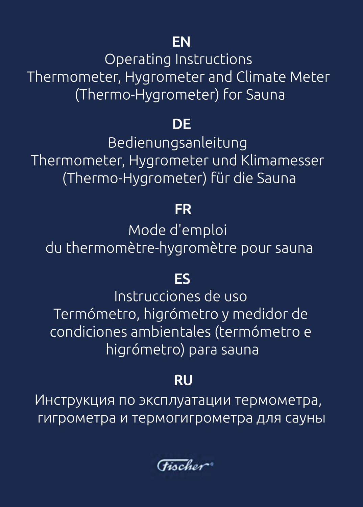# EN

Operating Instructions Thermometer, Hygrometer and Climate Meter (Thermo-Hygrometer) for Sauna

# **DE**

Bedienungsanleitung Thermometer, Hygrometer und Klimamesser (Thermo-Hygrometer) für die Sauna

# FR

Mode d'emploi du thermomètre-hygromètre pour sauna

# ES

Instrucciones de uso Termómetro, higrómetro y medidor de condiciones ambientales (termómetro e higrómetro) para sauna

# RU

Инструкция по эксплуатации термометра, гигрометра и термогигрометра для сауны

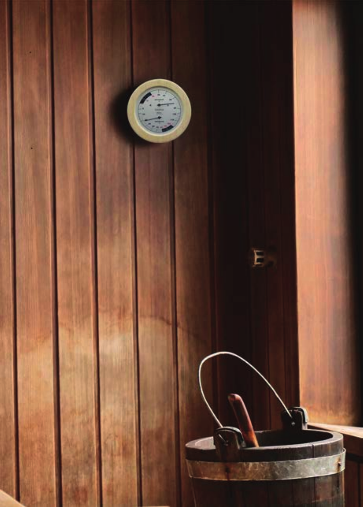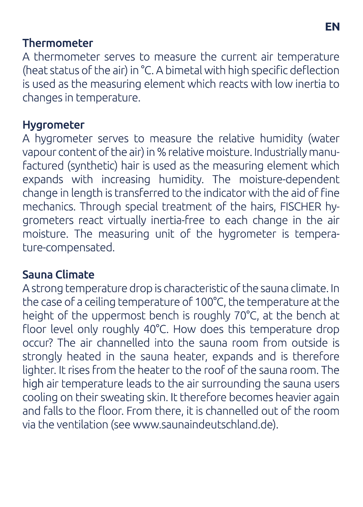#### **Thermometer**

A thermometer serves to measure the current air temperature (heat status of the air) in °C. A bimetal with high specific deflection is used as the measuring element which reacts with low inertia to changes in temperature.

# Hygrometer

A hygrometer serves to measure the relative humidity (water vapour content of the air) in % relative moisture. Industrially manufactured (synthetic) hair is used as the measuring element which expands with increasing humidity. The moisture-dependent change in length is transferred to the indicator with the aid of fine mechanics. Through special treatment of the hairs, FISCHER hygrometers react virtually inertia-free to each change in the air moisture. The measuring unit of the hygrometer is temperature-compensated.

# Sauna Climate

A strong temperature drop is characteristic of the sauna climate. In the case of a ceiling temperature of 100°C, the temperature at the height of the uppermost bench is roughly 70°C, at the bench at floor level only roughly 40°C. How does this temperature drop occur? The air channelled into the sauna room from outside is strongly heated in the sauna heater, expands and is therefore lighter. It rises from the heater to the roof of the sauna room. The high air temperature leads to the air surrounding the sauna users cooling on their sweating skin. It therefore becomes heavier again and falls to the floor. From there, it is channelled out of the room via the ventilation (see www.saunaindeutschland.de).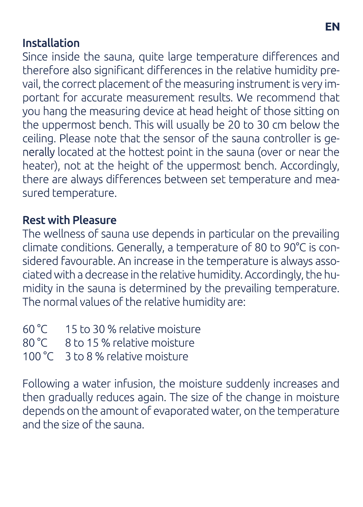# Installation

Since inside the sauna, quite large temperature differences and therefore also significant differences in the relative humidity prevail, the correct placement of the measuring instrument is very important for accurate measurement results. We recommend that you hang the measuring device at head height of those sitting on the uppermost bench. This will usually be 20 to 30 cm below the ceiling. Please note that the sensor of the sauna controller is generally located at the hottest point in the sauna (over or near the heater), not at the height of the uppermost bench. Accordingly, there are always differences between set temperature and measured temperature.

### Rest with Pleasure

The wellness of sauna use depends in particular on the prevailing climate conditions. Generally, a temperature of 80 to 90°C is considered favourable. An increase in the temperature is always associated with a decrease in the relative humidity. Accordingly, the humidity in the sauna is determined by the prevailing temperature. The normal values of the relative humidity are:

- 60 °C 15 to 30 % relative moisture<br>80 °C 8 to 15 % relative moisture
- 80 °C 8 to 15 % relative moisture<br>100 °C 3 to 8 % relative moisture
- 10 0 °C 3 to 8 % relative m oistu re

Following a water infusion, the moisture suddenly increases and then gradually reduces again. The size of the change in moisture depends on the amount of evaporated water, on the temperature and the size of the sauna.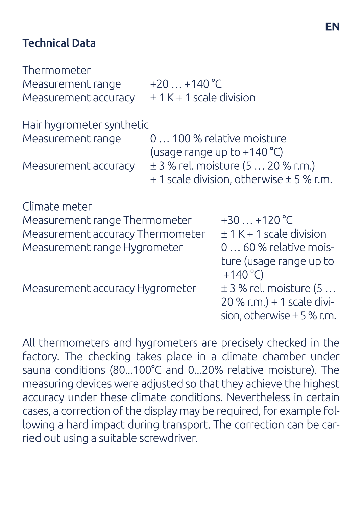# **EN**

# Technical Data

| Thermometer<br>Measurement range<br>Measurement accuracy                                                           | +20 $\dots$ +140 °C<br>$\pm$ 1 K + 1 scale division |                                                                                                                       |
|--------------------------------------------------------------------------------------------------------------------|-----------------------------------------------------|-----------------------------------------------------------------------------------------------------------------------|
| Hair hygrometer synthetic<br>Measurement range                                                                     | (usage range up to $+140$ °C)                       | 0  100 % relative moisture                                                                                            |
| Measurement accuracy                                                                                               |                                                     | ± 3 % rel. moisture (5  20 % r.m.)<br>+ 1 scale division, otherwise ± 5 % r.m.                                        |
| Climate meter<br>Measurement range Thermometer<br>Measurement accuracy Thermometer<br>Measurement range Hygrometer |                                                     | $+30+120$ °C<br>$± 1$ K + 1 scale division<br>$060$ % relative mois-<br>ture (usage range up to<br>+140 $^{\circ}$ C) |
| Measurement accuracy Hygrometer                                                                                    |                                                     | $\pm$ 3 % rel. moisture (5<br>20 % r.m.) + 1 scale divi-<br>sion, otherwise $\pm$ 5 % r.m.                            |

All thermometers and hygrometers are precisely checked in the factory. The checking takes place in a climate chamber under sauna conditions (80...100°C and 0...20% relative moisture). The measuring devices were adjusted so that they achieve the highest accuracy under these climate conditions. Nevertheless in certain cases, a correction of the display may be required, for example following a hard impact during transport. The correction can be carried out using a suitable screwdriver.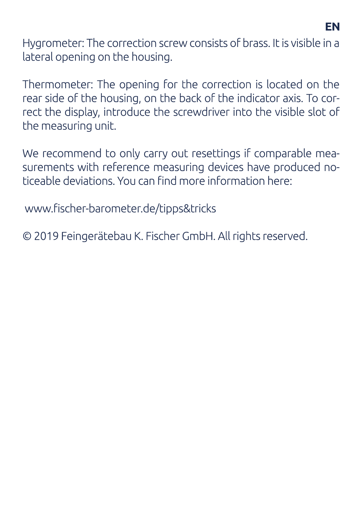**EN**

Hygrometer: The correction screw consists of brass. It is visible in a lateral opening on the housing.

Thermometer: The opening for the correction is located on the rear side of the housing, on the back of the indicator axis. To correct the display, introduce the screwdriver into the visible slot of the measuring unit.

We recommend to only carry out resettings if comparable measurements with reference measuring devices have produced noticeable deviations. You can find more information here:

www.fischer-barometer.de/tipps&tricks

© 2019 Feingerätebau K. Fischer GmbH. All rights reserved.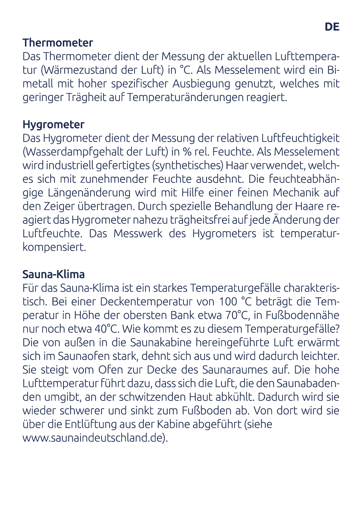## Thermometer

Das Thermometer dient der Messung der aktuellen Lufttemperatur (Wärmezustand der Luft) in °C. Als Messelement wird ein Bimetall mit hoher spezifischer Ausbiegung genutzt, welches mit geringer Trägheit auf Temperaturänderungen reagiert.

# Hygrometer

Das Hygrometer dient der Messung der relativen Luftfeuchtigkeit (Wasserdampfgehalt der Luft) in % rel. Feuchte. Als Messelement wird industriell gefertigtes (synthetisches) Haar verwendet, welches sich mit zunehmender Feuchte ausdehnt. Die feuchteabhängige Längenänderung wird mit Hilfe einer feinen Mechanik auf den Zeiger übertragen. Durch spezielle Behandlung der Haare reagiert das Hygrometer nahezu trägheitsfrei auf jede Änderung der Luftfeuchte. Das Messwerk des Hygrometers ist temperaturkompensiert.

# Sauna-Klima

Für das Sauna-Klima ist ein starkes Temperaturgefälle charakteristisch. Bei einer Deckentemperatur von 100 °C beträgt die Temperatur in Höhe der obersten Bank etwa 70°C, in Fußbodennähe nur noch etwa 40°C. Wie kommt es zu diesem Temperaturgefälle? Die von außen in die Saunakabine hereingeführte Luft erwärmt sich im Saunaofen stark, dehnt sich aus und wird dadurch leichter. Sie steigt vom Ofen zur Decke des Saunaraumes auf. Die hohe Lufttemperatur führt dazu, dass sich die Luft, die den Saunabadenden umgibt, an der schwitzenden Haut abkühlt. Dadurch wird sie wieder schwerer und sinkt zum Fußboden ab. Von dort wird sie über die Entlüftung aus der Kabine abgeführt (siehe www.saunaindeutschland.de).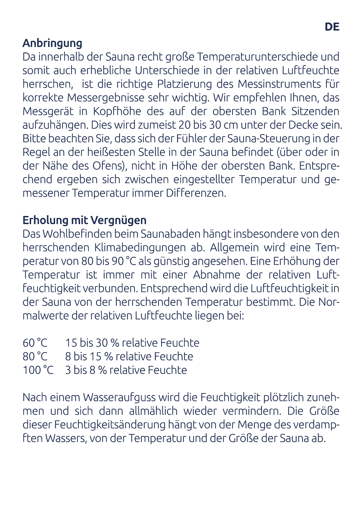# Anbringung

Da innerhalb der Sauna recht große Temperaturunterschiede und somit auch erhebliche Unterschiede in der relativen Luftfeuchte herrschen, ist die richtige Platzierung des Messinstruments für korrekte Messergebnisse sehr wichtig. Wir empfehlen Ihnen, das Messgerät in Kopfhöhe des auf der obersten Bank Sitzenden aufzuhängen. Dies wird zumeist 20 bis 30 cm unter der Decke sein. Bitte beachten Sie, dass sich der Fühler der Sauna-Steuerung in der Regel an der heißesten Stelle in der Sauna befindet (über oder in der Nähe des Ofens), nicht in Höhe der obersten Bank. Entsprechend ergeben sich zwischen eingestellter Temperatur und gemessener Temperatur immer Differenzen.

# Erholung mit Vergnügen

Das Wohlbefinden beim Saunabaden hängt insbesondere von den herrschenden Klimabedingungen ab. Allgemein wird eine Temperatur von 80 bis 90 °C als günstig angesehen. Eine Erhöhung der Temperatur ist immer mit einer Abnahme der relativen Luftfeuchtigkeit verbunden. Entsprechend wird die Luftfeuchtigkeit in der Sauna von der herrschenden Temperatur bestimmt. Die Normalwerte der relativen Luftfeuchte liegen bei:

- $60 °C$ 15 bis 30 % relative Feuchte
- $2^{\circ}08$ 8 bis 15 % relative Feuchte
- 100 $\degree$ C 3 bis 8 % relative Feuchte

Nach einem Wasseraufguss wird die Feuchtigkeit plötzlich zunehmen und sich dann allmählich wieder vermindern. Die Größe dieser Feuchtigkeitsänderung hängt von der Menge des verdampften Wassers, von der Temperatur und der Größe der Sauna ab.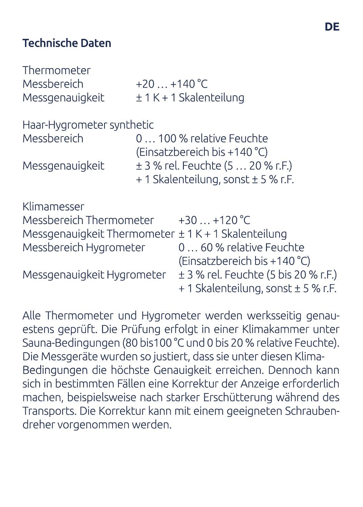# **Technische Daten**

| Thermometer<br>Messbereich<br>Messgenauigkeit           | $+20+140$ °C                                                                                             | $± 1 K + 1 Skalenteilung$                                                   |
|---------------------------------------------------------|----------------------------------------------------------------------------------------------------------|-----------------------------------------------------------------------------|
| Haar-Hygrometer synthetic<br>Messbereich                |                                                                                                          | 0  100 % relative Feuchte                                                   |
|                                                         |                                                                                                          |                                                                             |
| Messgenauigkeit                                         | (Einsatzbereich bis +140 °C)<br>± 3 % rel. Feuchte (5  20 % r.F.)<br>+ 1 Skalenteilung, sonst ± 5 % r.F. |                                                                             |
| Klimamesser                                             |                                                                                                          |                                                                             |
| Messbereich Thermometer                                 |                                                                                                          | $+30+120$ °C                                                                |
| Messgenauigkeit Thermometer $\pm$ 1 K + 1 Skalenteilung |                                                                                                          |                                                                             |
| Messbereich Hygrometer                                  |                                                                                                          | 060% relative Feuchte<br>(Einsatzbereich bis +140 °C)                       |
| Messgenauigkeit Hygrometer                              |                                                                                                          | ± 3 % rel. Feuchte (5 bis 20 % r.F.)<br>+ 1 Skalenteilung, sonst ± 5 % r.F. |
|                                                         |                                                                                                          |                                                                             |

Alle Thermometer und Hygrometer werden werksseitig genauestens geprüft. Die Prüfung erfolgt in einer Klimakammer unter Sauna-Bedingungen (80 bis100 °C und 0 bis 20 % relative Feuchte). Die Messgeräte wurden so justiert, dass sie unter diesen Klima-Bedingungen die höchste Genauigkeit erreichen. Dennoch kann sich in bestimmten Fällen eine Korrektur der Anzeige erforderlich machen, beispielsweise nach starker Erschütterung während des Transports. Die Korrektur kann mit einem geeigneten Schraubendreher vorgenommen werden.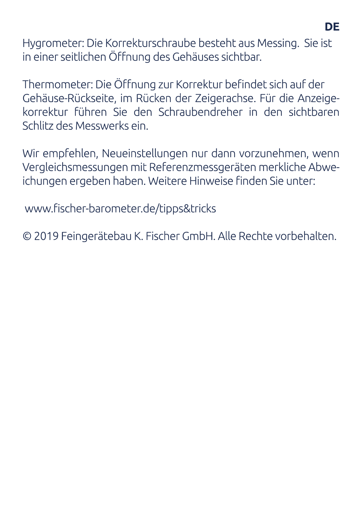Hygrometer: Die Korrekturschraube besteht aus Messing. Sie ist in einer seitlichen Öffnung des Gehäuses sichtbar.

Thermometer: Die Öffnung zur Korrektur befindet sich auf der Gehäuse-Rückseite, im Rücken der Zeigerachse. Für die Anzeigekorrektur führen Sie den Schraubendreher in den sichtbaren Schlitz des Messwerks ein.

Wir empfehlen, Neueinstellungen nur dann vorzunehmen, wenn Vergleichsmessungen mit Referenzmessgeräten merkliche Abweichungen ergeben haben. Weitere Hinweise finden Sie unter:

www.fischer-barometer.de/tipps&tricks

© 2019 Feingerätebau K. Fischer GmbH. Alle Rechte vorbehalten.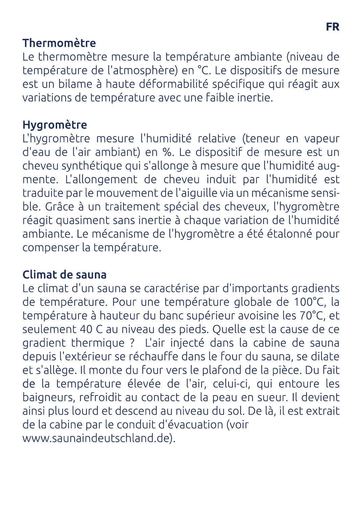# Thermomètre

Le thermomètre mesure la température ambiante (niveau de température de l'atmosphère) en °C. Le dispositifs de mesure est un bilame à haute déformabilité spécifique qui réagit aux variations de température avec une faible inertie.

# Hygromètre

L'hygromètre mesure l'humidité relative (teneur en vapeur d'eau de l'air ambiant) en %. Le dispositif de mesure est un cheveu synthétique qui s'allonge à mesure que l'humidité augmente. L'allongement de cheveu induit par l'humidité est traduite par le mouvement de l'aiguille via un mécanisme sensible. Grâce à un traitement spécial des cheveux, l'hygromètre réagit quasiment sans inertie à chaque variation de l'humidité ambiante. Le mécanisme de l'hygromètre a été étalonné pour compenser la température.

# Climat de sauna

Le climat d'un sauna se caractérise par d'importants gradients de température. Pour une température globale de 100°C, la température à hauteur du banc supérieur avoisine les 70°C, et seulement 40 C au niveau des pieds. Quelle est la cause de ce gradient thermique ? L'air injecté dans la cabine de sauna depuis l'extérieur se réchauffe dans le four du sauna, se dilate et s'allège. Il monte du four vers le plafond de la pièce. Du fait de la température élevée de l'air, celui-ci, qui entoure les baigneurs, refroidit au contact de la peau en sueur. Il devient ainsi plus lourd et descend au niveau du sol. De là, il est extrait de la cabine par le conduit d'évacuation (voir www.saunaindeutschland.de).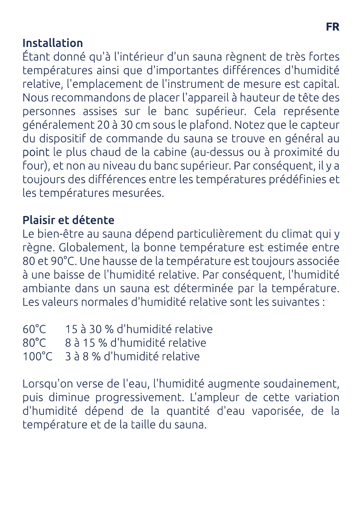# Installation

Étant donné qu'à l'intérieur d'un sauna règnent de très fortes températures ainsi que d'importantes différences d'humidité relative, l'emplacement de l'instrument de mesure est capital. Nous recommandons de placer l'appareil à hauteur de tête des personnes assises sur le banc supérieur. Cela représente généralement 20 à 30 cm sous le plafond. Notez que le capteur du dispositif de commande du sauna se trouve en général au point le plus chaud de la cabine (au-dessus ou à proximité du four), et non au niveau du banc supérieur. Par conséquent, il y a toujours des différences entre les températures prédéfinies et les températures mesurées.

# Plaisir et détente

Le bien-être au sauna dépend particulièrement du climat qui v règne. Globalement, la bonne température est estimée entre 80 et 90°C. Une hausse de la température est toujours associée à une baisse de l'humidité relative. Par conséquent, l'humidité ambiante dans un sauna est déterminée par la température. Les valeurs normales d'humidité relative sont les suivantes :

60°C 15 à 30 % d'humidité relative<br>80°C 8 à 15 % d'humidité relative 80<mark>°C 8 à 15 % d'humidité relative</mark><br>100°C 3 à 8 % d'humidité relative 3 à 8 % d'humidité relative

Lorsqu'on verse de l'eau. l'humidité augmente soudainement, puis diminue progressivement. L'ampleur de cette variation d'humidité dépend de la quantité d'eau vaporisée, de la température et de la taille du sauna.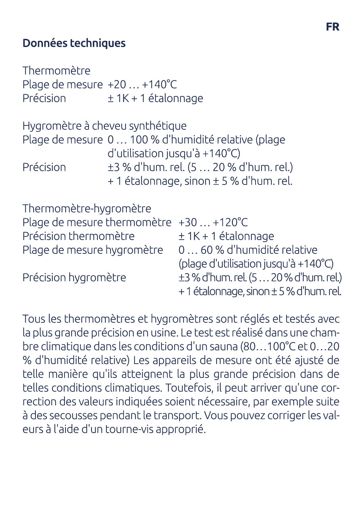### Données techniques

| Thermomètre                 |                       |
|-----------------------------|-----------------------|
| Plage de mesure +20  +140°C |                       |
| Précision                   | $± 1K + 1$ étalonnage |

|           | Hygromètre à cheveu synthétique                     |
|-----------|-----------------------------------------------------|
|           | Plage de mesure 0  100 % d'humidité relative (plage |
|           | d'utilisation jusqu'à +140°C)                       |
| Précision | ±3 % d'hum. rel. (5  20 % d'hum. rel.)              |
|           | + 1 étalonnage, sinon ± 5 % d'hum, rel.             |

| Thermomètre-hygromètre                  |                                        |
|-----------------------------------------|----------------------------------------|
| Plage de mesure thermomètre +30  +120°C |                                        |
| Précision thermomètre                   | $± 1K + 1$ étalonnage                  |
| Plage de mesure hygromètre              | 0  60 % d'humidité relative            |
|                                         | (plage d'utilisation jusqu'à +140°C)   |
| Précision hygromètre                    | ±3 % d'hum. rel. (5  20 % d'hum. rel.) |
|                                         | +1 étalonnage, sinon ± 5 % d'hum. rel. |

Tous les thermomètres et hygromètres sont réglés et testés avec la plus grande précision en usine. Le test est réalisé dans une chambre climatique dans les conditions d'un sauna (80...100°C et 0...20 % d'humidité relative) Les appareils de mesure ont été ajusté de telle manière qu'ils atteignent la plus grande précision dans de telles conditions climatiques. Toutefois, il peut arriver qu'une correction des valeurs indiquées soient nécessaire, par exemple suite à des secousses pendant le transport. Vous pouvez corriger les valeurs à l'aide d'un tourne-vis approprié.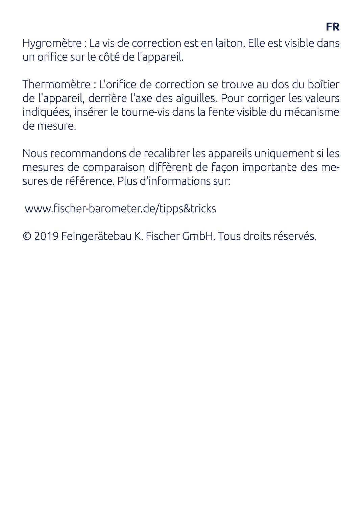# **FR**

Hygromètre : La vis de correction est en laiton. Elle est visible dans un orifice sur le côté de l'appareil.

Thermomètre : L'orifice de correction se trouve au dos du boîtier de l'appareil, derrière l'axe des aiguilles. Pour corriger les valeurs indiquées, insérer le tourne-vis dans la fente visible du mécanisme de mesure.

Nous recommandons de recalibrer les appareils uniquement si les mesures de comparaison diffèrent de façon importante des mesures de référence. Plus d'informations sur:

www.fischer-barometer.de/tipps&tricks

© 2019 Feingerätebau K. Fischer GmbH. Tous droits réservés.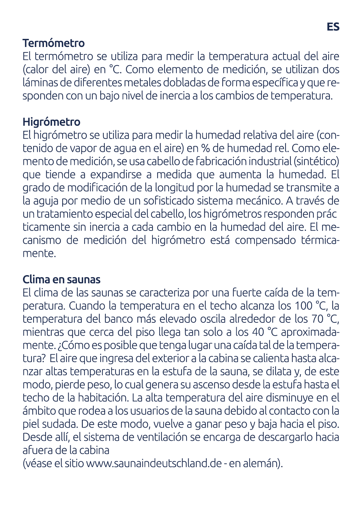# Termómetro

El termómetro se utiliza para medir la temperatura actual del aire (calor del aire) en °C. Como elemento de medición, se utilizan dos láminas de diferentes metales dobladas de forma específica y que responden con un bajo nivel de inercia a los cambios de temperatura.

### **Higrómetro**

El higrómetro se utiliza para medir la humedad relativa del aire (contenido de vapor de agua en el aire) en % de humedad rel. Como elemento de medición, se usa cabello de fabricación industrial (sintético) que tiende a expandirse a medida que aumenta la humedad. El grado de modificación de la longitud por la humedad se transmite a la aguja por medio de un sofisticado sistema mecánico. A través de un tratamiento especial del cabello, los higrómetros responden prác ticamente sin inercia a cada cambio en la humedad del aire. El mecanismo de medición del higrómetro está compensado térmicamente.

### Clima en saunas

El clima de las saunas se caracteriza por una fuerte caída de la temperatura. Cuando la temperatura en el techo alcanza los 100 °C, la temperatura del banco más elevado oscila alrededor de los 70 °C, mientras que cerca del piso llega tan solo a los 40 °C aproximadamente. ¿Cómo es posible que tenga lugar una caída tal de la temperatura? El aire que ingresa del exterior a la cabina se calienta hasta alcanzar altas temperaturas en la estufa de la sauna, se dilata y, de este modo, pierde peso, lo cual genera su ascenso desde la estufa hasta el techo de la habitación. La alta temperatura del aire disminuye en el ámbito que rodea a los usuarios de la sauna debido al contacto con la piel sudada. De este modo, vuelve a ganar peso y baja hacia el piso. Desde allí, el sistema de ventilación se encarga de descargarlo hacia afuera de la cabina

(véase el sitio www.saunaindeutschland.de - en alemán).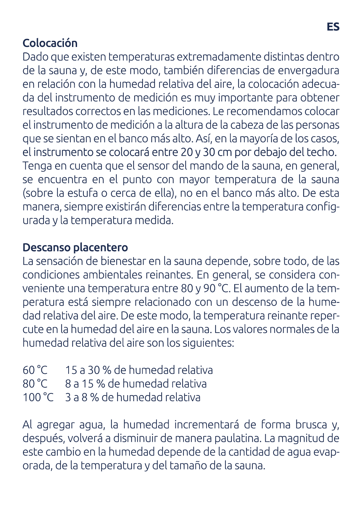# Colocación

Dado que existen temperaturas extremadamente distintas dentro de la sauna y, de este modo, también diferencias de envergadura en relación con la humedad relativa del aire, la colocación adecuada del instrumento de medición es muy importante para obtener resultados correctos en las mediciones. Le recomendamos colocar el instrumento de medición a la altura de la cabeza de las personas que se sientan en el banco más alto. Así, en la mayoría de los casos, el instrumento se colocará entre 20 y 30 cm por debajo del techo. Tenga en cuenta que el sensor del mando de la sauna, en general, se encuentra en el punto con mayor temperatura de la sauna (sobre la estufa o cerca de ella), no en el banco más alto. De esta manera, siempre existirán diferencias entre la temperatura configurada y la temperatura medida.

# Descanso placentero

La sensación de bienestar en la sauna depende, sobre todo, de las condiciones ambientales reinantes. En general, se considera conveniente una temperatura entre 80 y 90 °C. El aumento de la temperatura está siempre relacionado con un descenso de la humedad relativa del aire. De este modo, la temperatura reinante repercute en la humedad del aire en la sauna. Los valores normales de la humedad relativa del aire son los siguientes:

- 60 °C 15 a 30 % de humedad relativa<br>80 °C 8 a 15 % de humedad relativa
- 80 °C 8 a 15 % de humedad relativa<br>100 °C 3 a 8 % de humedad relativa
- 100 °C 3 a 8 % de humedad relativa

Al agregar agua, la humedad incrementará de forma brusca y, después, volverá a disminuir de manera paulatina. La magnitud de este cambio en la humedad depende de la cantidad de agua evaporada, de la temperatura y del tamaño de la sauna.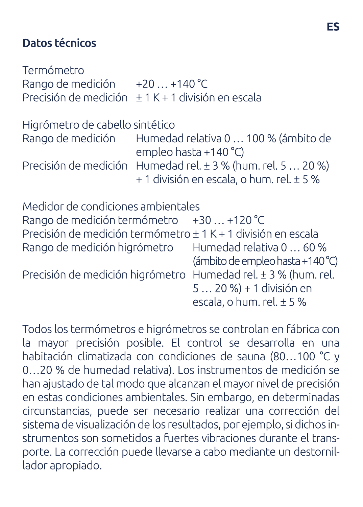# Datos técnicos

| Termómetro                                         |                       |                                                                                            |
|----------------------------------------------------|-----------------------|--------------------------------------------------------------------------------------------|
| Rango de medición                                  | $+20+140$ °C          |                                                                                            |
| Precisión de medición ± 1 K + 1 división en escala |                       |                                                                                            |
| Higrómetro de cabello sintético                    |                       |                                                                                            |
| Rango de medición                                  | empleo hasta +140 °C) | Humedad relativa 0  100 % (ámbito de                                                       |
| Precisión de medición                              |                       | Humedad rel. ± 3 % (hum. rel. 5  20 %)<br>+ 1 división en escala, o hum. rel. ± 5 %        |
| Medidor de condiciones ambientales                 |                       |                                                                                            |
| Rango de medición termómetro                       |                       | $+30+120$ °C                                                                               |
|                                                    |                       | Precisión de medición termómetro ± 1 K + 1 división en escala                              |
| Rango de medición higrómetro                       |                       | Humedad relativa 0  60 %<br>(ámbito de empleo hasta +140 °C)                               |
| Precisión de medición higrómetro                   |                       | Humedad rel. ± 3 % (hum. rel.<br>5  20 %) + 1 división en<br>escala, o hum. rel. $\pm$ 5 % |

Todos los termómetros e higrómetros se controlan en fábrica con la mayor precisión posible. El control se desarrolla en una habitación climatizada con condiciones de sauna (80… 100 °C y 0… 20 % de humedad relativa). Los instrumentos de medición se han ajustado de tal modo que alcanzan el mayor nivel de precisión en estas condiciones ambientales. Sin embargo, en determinadas circunstancias, puede ser necesario realizar una corrección del sistema de visualización de los resultados, por ejemplo, si dichos instrumentos son sometidos a fuertes vibraciones durante el transporte. La corrección puede llevarse a cabo mediante un destornillador apropiado.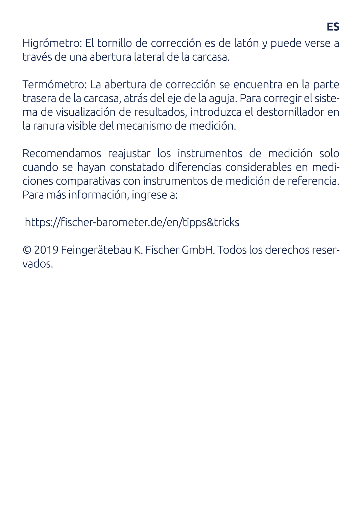Higrómetro: El tornillo de corrección es de latón y puede verse a través de una abertura lateral de la carcasa.

Termómetro: La abertura de corrección se encuentra en la parte trasera de la carcasa, atrás del eje de la aguja. Para corregir el sistema de visualización de resultados, introduzca el destornillador en la ranura visible del mecanismo de medición.

Recomendamos reajustar los instrumentos de medición solo cuando se hayan constatado diferencias considerables en mediciones comparativas con instrumentos de medición de referencia. Para más información, ingrese a:

https://fischer-barometer.de/en/tipps&tricks

© 2019 Feingerätebau K. Fischer GmbH. Todos los derechos reservados.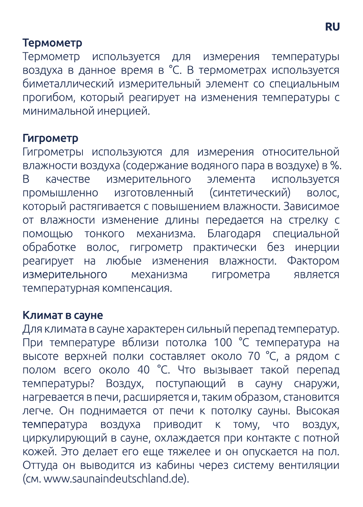#### Термометр

Термометр используется для измерения температуры воздуха в данное время в °C. В термометрах используется биметаллический измерительный элемент со специальным прогибом, который реагирует на изменения температуры с минимальной инерцией.

#### Гигрометр

Гигрометры используются для измерения относительной влажности воздуха (содержание водяного пара в воздухе) в %. В качестве измерительного элемента используется промышленно изготовленный (синтетический) волос, который растягивается с повышением влажности. Зависимое от влажности изменение длины передается на стрелку с помощью тонкого механизма. Благодаря специальной обработке волос, гигрометр практически без инерции реагирует на любые изменения влажности. Фактором измерительного механизма гигрометра является температурная компенсация.

#### Климат в сауне

Для климата в сауне характерен сильный перепад температур. При температуре вблизи потолка 100 °C температура на высоте верхней полки составляет около 70 °C, а рядом с полом всего около 40 °C. Что вызывает такой перепад температуры? Воздух, поступающий в сауну снаружи, нагревается в печи, расширяется и, таким образом, становится легче. Он поднимается от печи к потолку сауны. Высокая температура воздуха приводит к тому, что воздух, циркулирующий в сауне, охлаждается при контакте с потной кожей. Это делает его еще тяжелее и он опускается на пол. Оттуда он выводится из кабины через систему вентиляции (см. www.saunaindeutschland.de).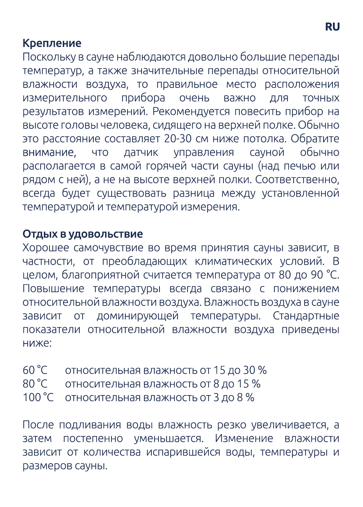#### Крепление

Поскольку в сауне наблюдаются довольно большие перепады температур, а также значительные перепады относительной влажности воздуха, то правильное место расположения измерительного прибора очень важно для точных результатов измерений. Рекомендуется повесить прибор на высоте головы человека, сидящего на верхней полке. Обычно это расстояние составляет 20 -30 см ниже потолка. Обратите внимание, внимание, что датчик управления сауной обычно располагается в самой горячей части сауны (над печью или рядом с ней), а не на высоте верхней полки. Соответственно, всегда будет существовать разница между установленной температурой и температурой измерения.

#### Отдых в удовольствие

Хорошее самочувствие во время принятия сауны зависит, в частности, от преобладающих климатических условий. В целом, благоприятной считается температура от 80 до 90 °C . Повышение температуры всегда связано с понижением относительной влажности воздуха. Влажность воздуха в сауне зависит от доминирующей температуры. Стандартные показатели относительной влажности воздуха приведены ниже:

- 60 °C относительная влажность от 15 до 30 %
- 80 °C относительная влажность от 8 до 15 %
- 100 °C относительная влажность от 3 до 8 %

После подливания воды влажность резко увеличивается, а затем постепенно уменьшается. Изменение влажности зависит от количества испарившейся воды, температуры и размеров сауны.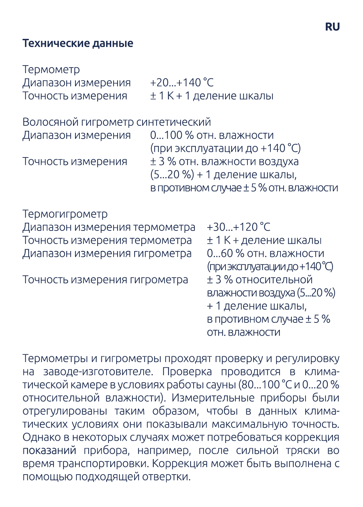# **RU**

#### Технические данные

Термометр

| Tepmometh<br>Диапазон измерения<br>Точность измерения | $+20. +140$ °C<br>± 1 К + 1 деление шкалы |
|-------------------------------------------------------|-------------------------------------------|
| Волосяной гигрометр синтетический                     |                                           |
| Диапазон измерения                                    | 0100 % отн. влажности                     |

 (при эксплуатации до + 140 °C) Точность измерения ± 3 % отн. влажности воздуха (5...20 %) + 1 деление шкалы. в противном случае ± 5 % отн. влажности

Термогигрометр Диапазон измерения термометра → 30…+120 °C<br>Точность измерения термометра → ± 1 К + деление шкалы Точность измерения термометра Диапазон измерения гигрометра 0...60 % отн. влажности

Точность измерения гигрометра

(при эксплуатации до +140°С)<br>± 3 % относительной влажности воздуха (5...20 %) + 1 деление шкалы, в противном случае ± 5 % отн. влажности

Термометры и гигрометры проходят проверку и регулировку на заводе-изготовителе. Проверка проводится в климатической камере в условиях работы сауны (80...100 °С и 0...20 % относительной влажности). Измерительные приборы были отрегулированы таким образом, чтобы в данных климатических условиях они показывали максимальную точность. Однако в некоторых случаях может потребоваться коррекция показаний прибора, например, после сильной тряски во время транспортировки. Коррекция может быть выполнена с помощью подходящей отвертки.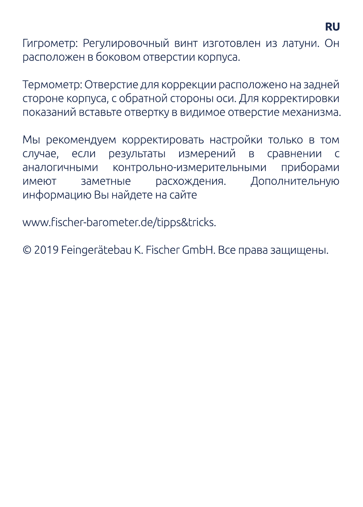Гигрометр: Регулировочный винт изготовлен из латуни. Он расположен в боковом отверстии корпуса.

Термометр: Отверстие для коррекции расположено на задней стороне корпуса, с обратной стороны оси. Для корректировки показаний вставьте отвертку в видимое отверстие механизма.

Мы рекомендуем корректировать настройки только в том случае, если результаты измерений в сравнении с аналогичными контрольно-измерительными приборами имеют заметные расхождения. Дополнительную информацию Вы найдете на сайте

www.fischer-barometer.de/tipps&tricks.

© 2019 Feingerätebau K. Fischer GmbH. Все права защищены.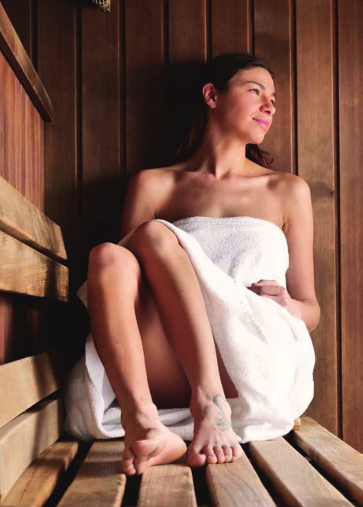